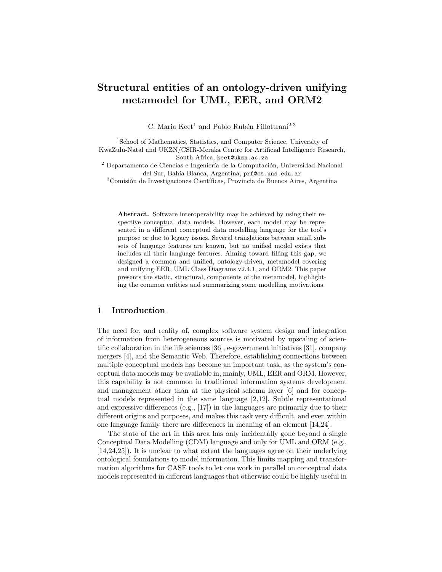# Structural entities of an ontology-driven unifying metamodel for UML, EER, and ORM2

C. Maria  $Kee^{1}$  and Pablo Rubén Fillottrani<sup>2,3</sup>

<sup>1</sup>School of Mathematics, Statistics, and Computer Science, University of KwaZulu-Natal and UKZN/CSIR-Meraka Centre for Artificial Intelligence Research, South Africa, keet@ukzn.ac.za

 $2$  Departamento de Ciencias e Ingeniería de la Computación, Universidad Nacional del Sur, Bahía Blanca, Argentina, prf@cs.uns.edu.ar

<sup>3</sup> Comisión de Investigaciones Científicas, Provincia de Buenos Aires, Argentina

Abstract. Software interoperability may be achieved by using their respective conceptual data models. However, each model may be represented in a different conceptual data modelling language for the tool's purpose or due to legacy issues. Several translations between small subsets of language features are known, but no unified model exists that includes all their language features. Aiming toward filling this gap, we designed a common and unified, ontology-driven, metamodel covering and unifying EER, UML Class Diagrams v2.4.1, and ORM2. This paper presents the static, structural, components of the metamodel, highlighting the common entities and summarizing some modelling motivations.

#### 1 Introduction

The need for, and reality of, complex software system design and integration of information from heterogeneous sources is motivated by upscaling of scientific collaboration in the life sciences [36], e-government initiatives [31], company mergers [4], and the Semantic Web. Therefore, establishing connections between multiple conceptual models has become an important task, as the system's conceptual data models may be available in, mainly, UML, EER and ORM. However, this capability is not common in traditional information systems development and management other than at the physical schema layer [6] and for conceptual models represented in the same language [2,12]. Subtle representational and expressive differences  $(e.g., [17])$  in the languages are primarily due to their different origins and purposes, and makes this task very difficult, and even within one language family there are differences in meaning of an element [14,24].

The state of the art in this area has only incidentally gone beyond a single Conceptual Data Modelling (CDM) language and only for UML and ORM (e.g., [14,24,25]). It is unclear to what extent the languages agree on their underlying ontological foundations to model information. This limits mapping and transformation algorithms for CASE tools to let one work in parallel on conceptual data models represented in different languages that otherwise could be highly useful in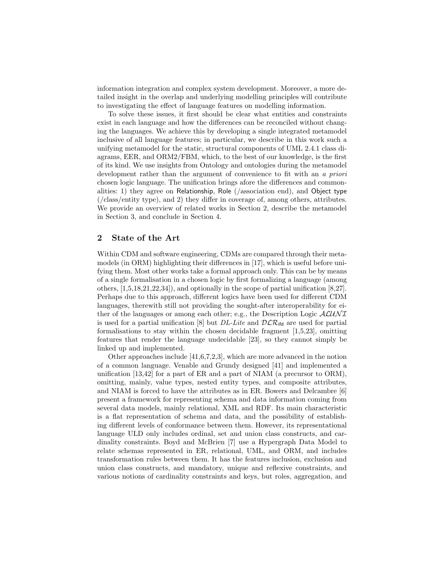information integration and complex system development. Moreover, a more detailed insight in the overlap and underlying modelling principles will contribute to investigating the effect of language features on modelling information.

To solve these issues, it first should be clear what entities and constraints exist in each language and how the differences can be reconciled without changing the languages. We achieve this by developing a single integrated metamodel inclusive of all language features; in particular, we describe in this work such a unifying metamodel for the static, structural components of UML 2.4.1 class diagrams, EER, and ORM2/FBM, which, to the best of our knowledge, is the first of its kind. We use insights from Ontology and ontologies during the metamodel development rather than the argument of convenience to fit with an a priori chosen logic language. The unification brings afore the differences and commonalities: 1) they agree on Relationship, Role (/association end), and Object type (/class/entity type), and 2) they differ in coverage of, among others, attributes. We provide an overview of related works in Section 2, describe the metamodel in Section 3, and conclude in Section 4.

## 2 State of the Art

Within CDM and software engineering, CDMs are compared through their metamodels (in ORM) highlighting their differences in [17], which is useful before unifying them. Most other works take a formal approach only. This can be by means of a single formalisation in a chosen logic by first formalizing a language (among others, [1,5,18,21,22,34]), and optionally in the scope of partial unification [8,27]. Perhaps due to this approach, different logics have been used for different CDM languages, therewith still not providing the sought-after interoperability for either of the languages or among each other; e.g., the Description Logic  $\mathcal{ALUNI}$ is used for a partial unification [8] but  $DL-Lite$  and  $DLR_{ifd}$  are used for partial formalisations to stay within the chosen decidable fragment [1,5,23], omitting features that render the language undecidable [23], so they cannot simply be linked up and implemented.

Other approaches include [41,6,7,2,3], which are more advanced in the notion of a common language. Venable and Grundy designed [41] and implemented a unification [13,42] for a part of ER and a part of NIAM (a precursor to ORM), omitting, mainly, value types, nested entity types, and composite attributes, and NIAM is forced to have the attributes as in ER. Bowers and Delcambre [6] present a framework for representing schema and data information coming from several data models, mainly relational, XML and RDF. Its main characteristic is a flat representation of schema and data, and the possibility of establishing different levels of conformance between them. However, its representational language ULD only includes ordinal, set and union class constructs, and cardinality constraints. Boyd and McBrien [7] use a Hypergraph Data Model to relate schemas represented in ER, relational, UML, and ORM, and includes transformation rules between them. It has the features inclusion, exclusion and union class constructs, and mandatory, unique and reflexive constraints, and various notions of cardinality constraints and keys, but roles, aggregation, and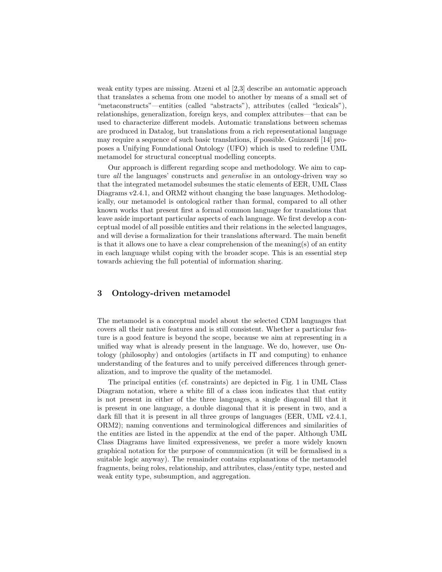weak entity types are missing. Atzeni et al [2,3] describe an automatic approach that translates a schema from one model to another by means of a small set of "metaconstructs"—entities (called "abstracts"), attributes (called "lexicals"), relationships, generalization, foreign keys, and complex attributes—that can be used to characterize different models. Automatic translations between schemas are produced in Datalog, but translations from a rich representational language may require a sequence of such basic translations, if possible. Guizzardi [14] proposes a Unifying Foundational Ontology (UFO) which is used to redefine UML metamodel for structural conceptual modelling concepts.

Our approach is different regarding scope and methodology. We aim to capture all the languages' constructs and *generalise* in an ontology-driven way so that the integrated metamodel subsumes the static elements of EER, UML Class Diagrams v2.4.1, and ORM2 without changing the base languages. Methodologically, our metamodel is ontological rather than formal, compared to all other known works that present first a formal common language for translations that leave aside important particular aspects of each language. We first develop a conceptual model of all possible entities and their relations in the selected languages, and will devise a formalization for their translations afterward. The main benefit is that it allows one to have a clear comprehension of the meaning(s) of an entity in each language whilst coping with the broader scope. This is an essential step towards achieving the full potential of information sharing.

## 3 Ontology-driven metamodel

The metamodel is a conceptual model about the selected CDM languages that covers all their native features and is still consistent. Whether a particular feature is a good feature is beyond the scope, because we aim at representing in a unified way what is already present in the language. We do, however, use Ontology (philosophy) and ontologies (artifacts in IT and computing) to enhance understanding of the features and to unify perceived differences through generalization, and to improve the quality of the metamodel.

The principal entities (cf. constraints) are depicted in Fig. 1 in UML Class Diagram notation, where a white fill of a class icon indicates that that entity is not present in either of the three languages, a single diagonal fill that it is present in one language, a double diagonal that it is present in two, and a dark fill that it is present in all three groups of languages (EER, UML v2.4.1, ORM2); naming conventions and terminological differences and similarities of the entities are listed in the appendix at the end of the paper. Although UML Class Diagrams have limited expressiveness, we prefer a more widely known graphical notation for the purpose of communication (it will be formalised in a suitable logic anyway). The remainder contains explanations of the metamodel fragments, being roles, relationship, and attributes, class/entity type, nested and weak entity type, subsumption, and aggregation.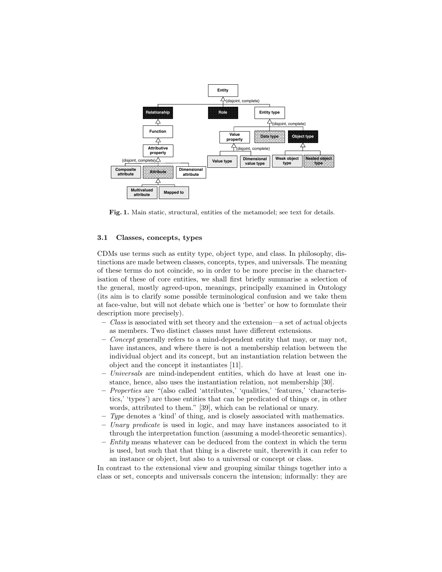

Fig. 1. Main static, structural, entities of the metamodel; see text for details.

#### 3.1 Classes, concepts, types

CDMs use terms such as entity type, object type, and class. In philosophy, distinctions are made between classes, concepts, types, and universals. The meaning of these terms do not coincide, so in order to be more precise in the characterisation of these of core entities, we shall first briefly summarise a selection of the general, mostly agreed-upon, meanings, principally examined in Ontology (its aim is to clarify some possible terminological confusion and we take them at face-value, but will not debate which one is 'better' or how to formulate their description more precisely).

- $-$  Class is associated with set theory and the extension—a set of actual objects as members. Two distinct classes must have different extensions.
- $\sim$  Concept generally refers to a mind-dependent entity that may, or may not, have instances, and where there is not a membership relation between the individual object and its concept, but an instantiation relation between the object and the concept it instantiates [11].
- Universals are mind-independent entities, which do have at least one instance, hence, also uses the instantiation relation, not membership [30].
- Properties are "(also called 'attributes,' 'qualities,' 'features,' 'characteristics,' 'types') are those entities that can be predicated of things or, in other words, attributed to them." [39], which can be relational or unary.
- $-$  Type denotes a 'kind' of thing, and is closely associated with mathematics.
- $-$  Unary predicate is used in logic, and may have instances associated to it through the interpretation function (assuming a model-theoretic semantics).
- Entity means whatever can be deduced from the context in which the term is used, but such that that thing is a discrete unit, therewith it can refer to an instance or object, but also to a universal or concept or class.

In contrast to the extensional view and grouping similar things together into a class or set, concepts and universals concern the intension; informally: they are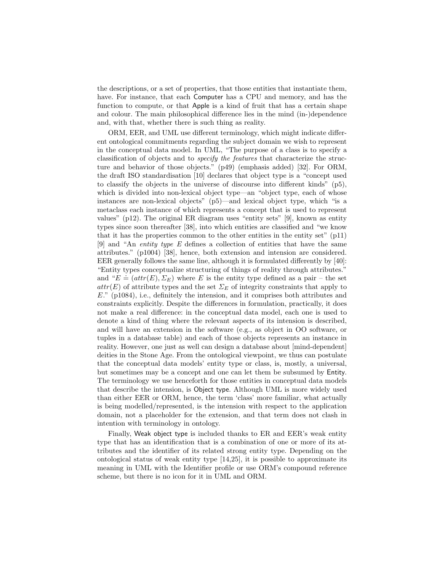the descriptions, or a set of properties, that those entities that instantiate them, have. For instance, that each Computer has a CPU and memory, and has the function to compute, or that Apple is a kind of fruit that has a certain shape and colour. The main philosophical difference lies in the mind (in-)dependence and, with that, whether there is such thing as reality.

ORM, EER, and UML use different terminology, which might indicate different ontological commitments regarding the subject domain we wish to represent in the conceptual data model. In UML, "The purpose of a class is to specify a classification of objects and to specify the features that characterize the structure and behavior of those objects." (p49) (emphasis added) [32]. For ORM, the draft ISO standardisation [10] declares that object type is a "concept used to classify the objects in the universe of discourse into different kinds" (p5), which is divided into non-lexical object type—an "object type, each of whose instances are non-lexical objects" (p5)—and lexical object type, which "is a metaclass each instance of which represents a concept that is used to represent values" (p12). The original ER diagram uses "entity sets" [9], known as entity types since soon thereafter [38], into which entities are classified and "we know that it has the properties common to the other entities in the entity set"  $(p11)$ [9] and "An entity type E defines a collection of entities that have the same attributes." (p1004) [38], hence, both extension and intension are considered. EER generally follows the same line, although it is formulated differently by [40]: "Entity types conceptualize structuring of things of reality through attributes." and " $E \doteq (attr(E), \Sigma_E)$  where E is the entity type defined as a pair – the set  $attr(E)$  of attribute types and the set  $\Sigma_E$  of integrity constraints that apply to E." (p1084), i.e., definitely the intension, and it comprises both attributes and constraints explicitly. Despite the differences in formulation, practically, it does not make a real difference: in the conceptual data model, each one is used to denote a kind of thing where the relevant aspects of its intension is described, and will have an extension in the software (e.g., as object in OO software, or tuples in a database table) and each of those objects represents an instance in reality. However, one just as well can design a database about [mind-dependent] deities in the Stone Age. From the ontological viewpoint, we thus can postulate that the conceptual data models' entity type or class, is, mostly, a universal, but sometimes may be a concept and one can let them be subsumed by Entity. The terminology we use henceforth for those entities in conceptual data models that describe the intension, is Object type. Although UML is more widely used than either EER or ORM, hence, the term 'class' more familiar, what actually is being modelled/represented, is the intension with respect to the application domain, not a placeholder for the extension, and that term does not clash in intention with terminology in ontology.

Finally, Weak object type is included thanks to ER and EER's weak entity type that has an identification that is a combination of one or more of its attributes and the identifier of its related strong entity type. Depending on the ontological status of weak entity type [14,25], it is possible to approximate its meaning in UML with the Identifier profile or use ORM's compound reference scheme, but there is no icon for it in UML and ORM.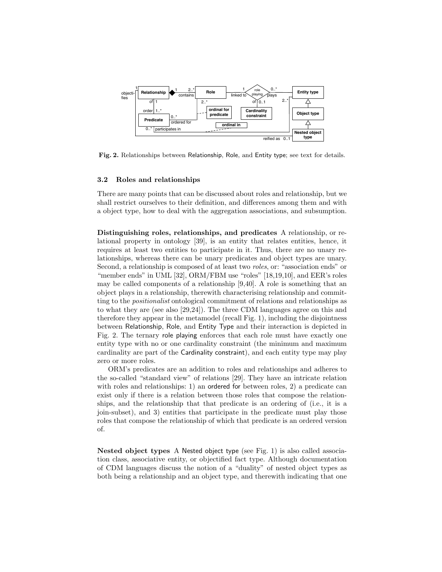

Fig. 2. Relationships between Relationship, Role, and Entity type; see text for details.

#### 3.2 Roles and relationships

There are many points that can be discussed about roles and relationship, but we shall restrict ourselves to their definition, and differences among them and with a object type, how to deal with the aggregation associations, and subsumption.

Distinguishing roles, relationships, and predicates A relationship, or relational property in ontology [39], is an entity that relates entities, hence, it requires at least two entities to participate in it. Thus, there are no unary relationships, whereas there can be unary predicates and object types are unary. Second, a relationship is composed of at least two roles, or: "association ends" or "member ends" in UML [32], ORM/FBM use "roles" [18,19,10], and EER's roles may be called components of a relationship [9,40]. A role is something that an object plays in a relationship, therewith characterising relationship and committing to the positionalist ontological commitment of relations and relationships as to what they are (see also [29,24]). The three CDM languages agree on this and therefore they appear in the metamodel (recall Fig. 1), including the disjointness between Relationship, Role, and Entity Type and their interaction is depicted in Fig. 2. The ternary role playing enforces that each role must have exactly one entity type with no or one cardinality constraint (the minimum and maximum cardinality are part of the Cardinality constraint), and each entity type may play zero or more roles.

ORM's predicates are an addition to roles and relationships and adheres to the so-called "standard view" of relations [29]. They have an intricate relation with roles and relationships: 1) an ordered for between roles, 2) a predicate can exist only if there is a relation between those roles that compose the relationships, and the relationship that that predicate is an ordering of (i.e., it is a join-subset), and 3) entities that participate in the predicate must play those roles that compose the relationship of which that predicate is an ordered version of.

Nested object types A Nested object type (see Fig. 1) is also called association class, associative entity, or objectified fact type. Although documentation of CDM languages discuss the notion of a "duality" of nested object types as both being a relationship and an object type, and therewith indicating that one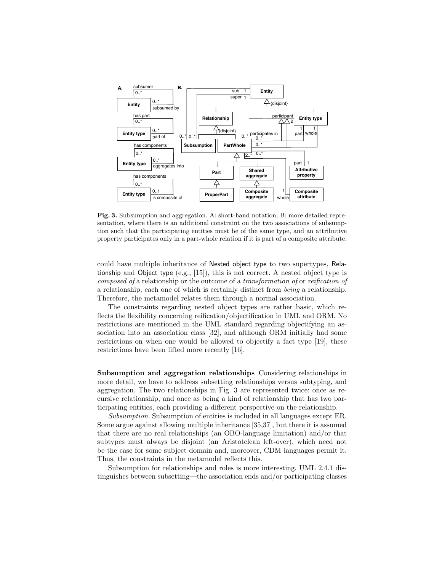

Fig. 3. Subsumption and aggregation. A: short-hand notation; B: more detailed representation, where there is an additional constraint on the two associations of subsumption such that the participating entities must be of the same type, and an attributive property participates only in a part-whole relation if it is part of a composite attribute.

could have multiple inheritance of Nested object type to two supertypes, Relationship and Object type (e.g., [15]), this is not correct. A nested object type is composed of a relationship or the outcome of a transformation of or reification of a relationship, each one of which is certainly distinct from being a relationship. Therefore, the metamodel relates them through a normal association.

The constraints regarding nested object types are rather basic, which reflects the flexibility concerning reification/objectification in UML and ORM. No restrictions are mentioned in the UML standard regarding objectifying an association into an association class [32], and although ORM initially had some restrictions on when one would be allowed to objectify a fact type [19], these restrictions have been lifted more recently [16].

Subsumption and aggregation relationships Considering relationships in more detail, we have to address subsetting relationships versus subtyping, and aggregation. The two relationships in Fig. 3 are represented twice: once as recursive relationship, and once as being a kind of relationship that has two participating entities, each providing a different perspective on the relationship.

Subsumption. Subsumption of entities is included in all languages except ER. Some argue against allowing multiple inheritance [35,37], but there it is assumed that there are no real relationships (an OBO-language limitation) and/or that subtypes must always be disjoint (an Aristotelean left-over), which need not be the case for some subject domain and, moreover, CDM languages permit it. Thus, the constraints in the metamodel reflects this.

Subsumption for relationships and roles is more interesting. UML 2.4.1 distinguishes between subsetting—the association ends and/or participating classes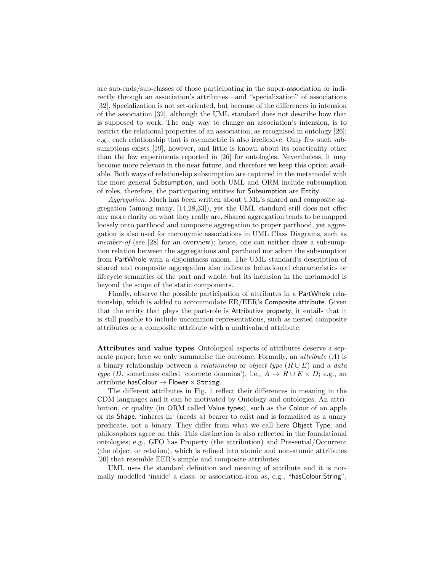are sub-ends/sub-classes of those participating in the super-association or indirectly through an association's attributes—and "specialization" of associations [32]. Specialization is not set-oriented, but because of the differences in intension of the association [32], although the UML standard does not describe how that is supposed to work. The only way to change an association's intension, is to restrict the relational properties of an association, as recognised in ontology [26]; e.g., each relationship that is asymmetric is also irreflexive. Only few such subsumptions exists [19], however, and little is known about its practicality other than the few experiments reported in [26] for ontologies. Nevertheless, it may become more relevant in the near future, and therefore we keep this option available. Both ways of relationship subsumption are captured in the metamodel with the more general Subsumption, and both UML and ORM include subsumption of roles, therefore, the participating entities for Subsumption are Entity.

Aggregation. Much has been written about UML's shared and composite aggregation (among many, [14,28,33]), yet the UML standard still does not offer any more clarity on what they really are. Shared aggregation tends to be mapped loosely onto parthood and composite aggregation to proper parthood, yet aggregation is also used for meronymic associations in UML Class Diagrams, such as member-of (see [28] for an overview); hence, one can neither draw a subsumption relation between the aggregations and parthood nor adorn the subsumption from PartWhole with a disjointness axiom. The UML standard's description of shared and composite aggregation also indicates behavioural characteristics or lifecycle semantics of the part and whole, but its inclusion in the metamodel is beyond the scope of the static components.

Finally, observe the possible participation of attributes in a PartWhole relationship, which is added to accommodate ER/EER's Composite attribute. Given that the entity that plays the part-role is Attributive property, it entails that it is still possible to include uncommon representations, such as nested composite attributes or a composite attribute with a multivalued attribute.

Attributes and value types Ontological aspects of attributes deserve a separate paper; here we only summarise the outcome. Formally, an *attribute*  $(A)$  is a binary relationship between a *relationship* or *object type*  $(R \cup E)$  and a *data* type (D, sometimes called 'concrete domains'), i.e.,  $A \mapsto R \cup E \times D$ ; e.g., an attribute hasColour  $\mapsto$  Flower  $\times$  String.

The different attributes in Fig. 1 reflect their differences in meaning in the CDM languages and it can be motivated by Ontology and ontologies. An attribution, or quality (in ORM called Value types), such as the Colour of an apple or its Shape, 'inheres in' (needs a) bearer to exist and is formalised as a unary predicate, not a binary. They differ from what we call here Object Type, and philosophers agree on this. This distinction is also reflected in the foundational ontologies; e.g., GFO has Property (the attribution) and Presential/Occurrent (the object or relation), which is refined into atomic and non-atomic attributes [20] that resemble EER's simple and composite attributes.

UML uses the standard definition and meaning of attribute and it is normally modelled 'inside' a class- or association-icon as, e.g., "hasColour:String",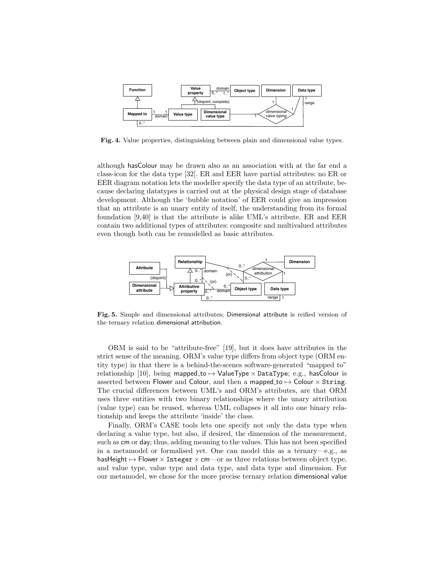

Fig. 4. Value properties, distinguishing between plain and dimensional value types.

although hasColour may be drawn also as an association with at the far end a class-icon for the data type [32]. ER and EER have partial attributes: no ER or EER diagram notation lets the modeller specify the data type of an attribute, because declaring datatypes is carried out at the physical design stage of database development. Although the 'bubble notation' of EER could give an impression that an attribute is an unary entity of itself, the understanding from its formal foundation [9,40] is that the attribute is alike UML's attribute. ER and EER contain two additional types of attributes: composite and multivalued attributes even though both can be remodelled as basic attributes.



Fig. 5. Simple and dimensional attributes; Dimensional attribute is reified version of the ternary relation dimensional attribution.

ORM is said to be "attribute-free" [19], but it does have attributes in the strict sense of the meaning. ORM's value type differs from object type (ORM entity type) in that there is a behind-the-scenes software-generated "mapped to" relationship [10], being mapped\_to  $\mapsto$  ValueType  $\times$  DataType; e.g., hasColour is asserted between Flower and Colour, and then a mapped to  $\rightarrow$  Colour  $\times$  String. The crucial differences between UML's and ORM's attributes, are that ORM uses three entities with two binary relationships where the unary attribution (value type) can be reused, whereas UML collapses it all into one binary relationship and keeps the attribute 'inside' the class.

Finally, ORM's CASE tools lets one specify not only the data type when declaring a value type, but also, if desired, the dimension of the measurement, such as cm or day; thus, adding meaning to the values. This has not been specified in a metamodel or formalised yet. One can model this as a ternary—e.g., as hasHeight  $\mapsto$  Flower  $\times$  Integer  $\times$  cm—or as three relations between object type, and value type, value type and data type, and data type and dimension. For our metamodel, we chose for the more precise ternary relation dimensional value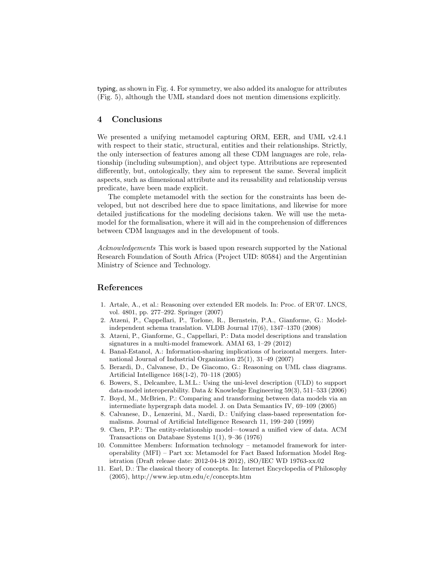typing, as shown in Fig. 4. For symmetry, we also added its analogue for attributes (Fig. 5), although the UML standard does not mention dimensions explicitly.

## 4 Conclusions

We presented a unifying metamodel capturing ORM, EER, and UML v2.4.1 with respect to their static, structural, entities and their relationships. Strictly, the only intersection of features among all these CDM languages are role, relationship (including subsumption), and object type. Attributions are represented differently, but, ontologically, they aim to represent the same. Several implicit aspects, such as dimensional attribute and its reusability and relationship versus predicate, have been made explicit.

The complete metamodel with the section for the constraints has been developed, but not described here due to space limitations, and likewise for more detailed justifications for the modeling decisions taken. We will use the metamodel for the formalisation, where it will aid in the comprehension of differences between CDM languages and in the development of tools.

Acknowledgements This work is based upon research supported by the National Research Foundation of South Africa (Project UID: 80584) and the Argentinian Ministry of Science and Technology.

## References

- 1. Artale, A., et al.: Reasoning over extended ER models. In: Proc. of ER'07. LNCS, vol. 4801, pp. 277–292. Springer (2007)
- 2. Atzeni, P., Cappellari, P., Torlone, R., Bernstein, P.A., Gianforme, G.: Modelindependent schema translation. VLDB Journal 17(6), 1347–1370 (2008)
- 3. Atzeni, P., Gianforme, G., Cappellari, P.: Data model descriptions and translation signatures in a multi-model framework. AMAI 63, 1–29 (2012)
- 4. Banal-Estanol, A.: Information-sharing implications of horizontal mergers. International Journal of Industrial Organization 25(1), 31–49 (2007)
- 5. Berardi, D., Calvanese, D., De Giacomo, G.: Reasoning on UML class diagrams. Artificial Intelligence 168(1-2), 70–118 (2005)
- 6. Bowers, S., Delcambre, L.M.L.: Using the uni-level description (ULD) to support data-model interoperability. Data & Knowledge Engineering 59(3), 511–533 (2006)
- 7. Boyd, M., McBrien, P.: Comparing and transforming between data models via an intermediate hypergraph data model. J. on Data Semantics IV, 69–109 (2005)
- 8. Calvanese, D., Lenzerini, M., Nardi, D.: Unifying class-based representation formalisms. Journal of Artificial Intelligence Research 11, 199–240 (1999)
- 9. Chen, P.P.: The entity-relationship model—toward a unified view of data. ACM Transactions on Database Systems 1(1), 9–36 (1976)
- 10. Committee Members: Information technology metamodel framework for interoperability (MFI) – Part xx: Metamodel for Fact Based Information Model Registration (Draft release date: 2012-04-18 2012), iSO/IEC WD 19763-xx.02
- 11. Earl, D.: The classical theory of concepts. In: Internet Encyclopedia of Philosophy (2005), http://www.iep.utm.edu/c/concepts.htm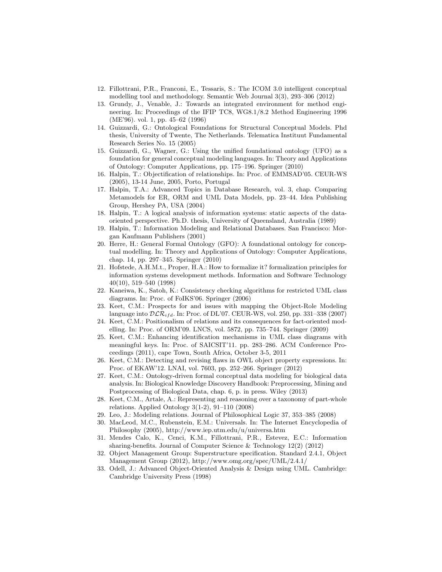- 12. Fillottrani, P.R., Franconi, E., Tessaris, S.: The ICOM 3.0 intelligent conceptual modelling tool and methodology. Semantic Web Journal 3(3), 293–306 (2012)
- 13. Grundy, J., Venable, J.: Towards an integrated environment for method engineering. In: Proceedings of the IFIP TC8, WG8.1/8.2 Method Engineering 1996 (ME'96). vol. 1, pp. 45–62 (1996)
- 14. Guizzardi, G.: Ontological Foundations for Structural Conceptual Models. Phd thesis, University of Twente, The Netherlands. Telematica Instituut Fundamental Research Series No. 15 (2005)
- 15. Guizzardi, G., Wagner, G.: Using the unified foundational ontology (UFO) as a foundation for general conceptual modeling languages. In: Theory and Applications of Ontology: Computer Applications, pp. 175–196. Springer (2010)
- 16. Halpin, T.: Objectification of relationships. In: Proc. of EMMSAD'05. CEUR-WS (2005), 13-14 June, 2005, Porto, Portugal
- 17. Halpin, T.A.: Advanced Topics in Database Research, vol. 3, chap. Comparing Metamodels for ER, ORM and UML Data Models, pp. 23–44. Idea Publishing Group, Hershey PA, USA (2004)
- 18. Halpin, T.: A logical analysis of information systems: static aspects of the dataoriented perspective. Ph.D. thesis, University of Queensland, Australia (1989)
- 19. Halpin, T.: Information Modeling and Relational Databases. San Francisco: Morgan Kaufmann Publishers (2001)
- 20. Herre, H.: General Formal Ontology (GFO): A foundational ontology for conceptual modelling. In: Theory and Applications of Ontology: Computer Applications, chap. 14, pp. 297–345. Springer (2010)
- 21. Hofstede, A.H.M.t., Proper, H.A.: How to formalize it? formalization principles for information systems development methods. Information and Software Technology 40(10), 519–540 (1998)
- 22. Kaneiwa, K., Satoh, K.: Consistency checking algorithms for restricted UML class diagrams. In: Proc. of FoIKS'06. Springer (2006)
- 23. Keet, C.M.: Prospects for and issues with mapping the Object-Role Modeling language into  $\mathcal{DLR}_{ifd}$ . In: Proc. of DL'07. CEUR-WS, vol. 250, pp. 331–338 (2007)
- 24. Keet, C.M.: Positionalism of relations and its consequences for fact-oriented modelling. In: Proc. of ORM'09. LNCS, vol. 5872, pp. 735–744. Springer (2009)
- 25. Keet, C.M.: Enhancing identification mechanisms in UML class diagrams with meaningful keys. In: Proc. of SAICSIT'11. pp. 283–286. ACM Conference Proceedings (2011), cape Town, South Africa, October 3-5, 2011
- 26. Keet, C.M.: Detecting and revising flaws in OWL object property expressions. In: Proc. of EKAW'12. LNAI, vol. 7603, pp. 252–266. Springer (2012)
- 27. Keet, C.M.: Ontology-driven formal conceptual data modeling for biological data analysis. In: Biological Knowledge Discovery Handbook: Preprocessing, Mining and Postprocessing of Biological Data, chap. 6, p. in press. Wiley (2013)
- 28. Keet, C.M., Artale, A.: Representing and reasoning over a taxonomy of part-whole relations. Applied Ontology 3(1-2), 91–110 (2008)
- 29. Leo, J.: Modeling relations. Journal of Philosophical Logic 37, 353–385 (2008)
- 30. MacLeod, M.C., Rubenstein, E.M.: Universals. In: The Internet Encyclopedia of Philosophy (2005), http://www.iep.utm.edu/u/universa.htm
- 31. Mendes Calo, K., Cenci, K.M., Fillottrani, P.R., Estevez, E.C.: Information sharing-benefits. Journal of Computer Science & Technology 12(2) (2012)
- 32. Object Management Group: Superstructure specification. Standard 2.4.1, Object Management Group (2012), http://www.omg.org/spec/UML/2.4.1/
- 33. Odell, J.: Advanced Object-Oriented Analysis & Design using UML. Cambridge: Cambridge University Press (1998)